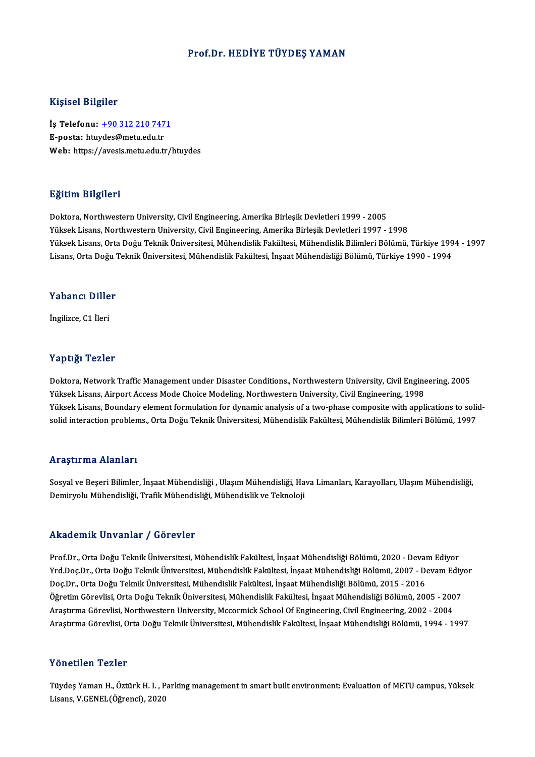### Prof.Dr.HEDİYE TÜYDEŞ YAMAN

### Kişisel Bilgiler

Kişisel Bilgiler<br>İş Telefonu: <u>+90 312 210 7471</u><br>E nosta: hturdes@metu.edu.tr 11191001 DABA01<br>İş Telefonu: <u>+90 312 210 747</u><br>E-posta: htu[ydes@metu.edu.tr](tel:+90 312 210 7471) E-posta: htuydes@metu.edu.tr<br>Web: https://avesis.metu.edu.tr/htuydes

### Eğitim Bilgileri

Doktora, Northwestern University, Civil Engineering, Amerika Birleşik Devletleri 1999 - 2005 Yüksek Lisans, Northwestern University, Civil Engineering, Amerika Birleşik Devletleri 1997 - 1998 Doktora, Northwestern University, Civil Engineering, Amerika Birleşik Devletleri 1999 - 2005<br>Yüksek Lisans, Northwestern University, Civil Engineering, Amerika Birleşik Devletleri 1997 - 1998<br>Yüksek Lisans, Orta Doğu Tekni Yüksek Lisans, Northwestern University, Civil Engineering, Amerika Birleşik Devletleri 1997 - 1998<br>Yüksek Lisans, Orta Doğu Teknik Üniversitesi, Mühendislik Fakültesi, Mühendislik Bilimleri Bölümü, Türkiye 199<br>Lisans, Orta Lisans, Orta Doğu Teknik Üniversitesi, Mühendislik Fakültesi, İnşaat Mühendisliği Bölümü, Türkiye 1990 - 1994<br>Yabancı Diller

İngilizce,C1 İleri

### Yaptığı Tezler

Yaptığı Tezler<br>Doktora, Network Traffic Management under Disaster Conditions., Northwestern University, Civil Engineering, 2005<br>Yüksek Lisans, Airport Assess Mode Choise Modeling, Northwestern University, Civil Engineering Yüksek Yözsek<br>Doktora, Network Traffic Management under Disaster Conditions., Northwestern University, Civil Engine<br>Yüksek Lisans, Airport Access Mode Choice Modeling, Northwestern University, Civil Engineering, 1998<br>Yükse Doktora, Network Traffic Management under Disaster Conditions., Northwestern University, Civil Engineering, 2005<br>Yüksek Lisans, Airport Access Mode Choice Modeling, Northwestern University, Civil Engineering, 1998<br>Yüksek L Yüksek Lisans, Airport Access Mode Choice Modeling, Northwestern University, Civil Engineering, 1998<br>Yüksek Lisans, Boundary element formulation for dynamic analysis of a two-phase composite with applications to soli<br>solid solid interaction problems., Orta Doğu Teknik Üniversitesi, Mühendislik Fakültesi, Mühendislik Bilimleri Bölümü, 1997<br>Araştırma Alanları

Sosyal ve Beşeri Bilimler, İnşaat Mühendisliği , Ulaşım Mühendisliği, Hava Limanları, Karayolları, Ulaşım Mühendisliği, Demiryolu Mühendisliği, Trafik Mühendisliği, Mühendislik ve Teknoloji

### Akademik Unvanlar / Görevler

Prof.Dr., Orta Doğu Teknik Üniversitesi, Mühendislik Fakültesi, İnşaat Mühendisliği Bölümü, 2020 - Devam Ediyor Yrkuu Shrik Shvunlar 7 "d'or svisi"<br>Prof.Dr., Orta Doğu Teknik Üniversitesi, Mühendislik Fakültesi, İnşaat Mühendisliği Bölümü, 2020 - Devam Ediyor<br>Dos.Dr., Orta Doğu Teknik Üniversitesi, Mühendislik Fakültesi, İnşaat Mühe Doç.Dr.,OrtaDoğuTeknikÜniversitesi,MühendislikFakültesi, İnşaatMühendisliğiBölümü,2015 -2016 Yrd.Doç.Dr., Orta Doğu Teknik Üniversitesi, Mühendislik Fakültesi, İnşaat Mühendisliği Bölümü, 2007 - Devam Ediy<br>Doç.Dr., Orta Doğu Teknik Üniversitesi, Mühendislik Fakültesi, İnşaat Mühendisliği Bölümü, 2015 - 2016<br>Öğreti Öğretim Görevlisi, Orta Doğu Teknik Üniversitesi, Mühendislik Fakültesi, İnşaat Mühendisliği Bölümü, 2005 - 2007<br>Araştırma Görevlisi, Northwestern University, Mccormick School Of Engineering, Civil Engineering, 2002 - 2004 AraştırmaGörevlisi,OrtaDoğuTeknikÜniversitesi,MühendislikFakültesi, İnşaatMühendisliğiBölümü,1994 -1997

### Yönetilen Tezler

Tüydeş Yaman H., Öztürk H. I., Parking management in smart built environment: Evaluation of METU campus, Yüksek Lisans,V.GENEL(Öğrenci),2020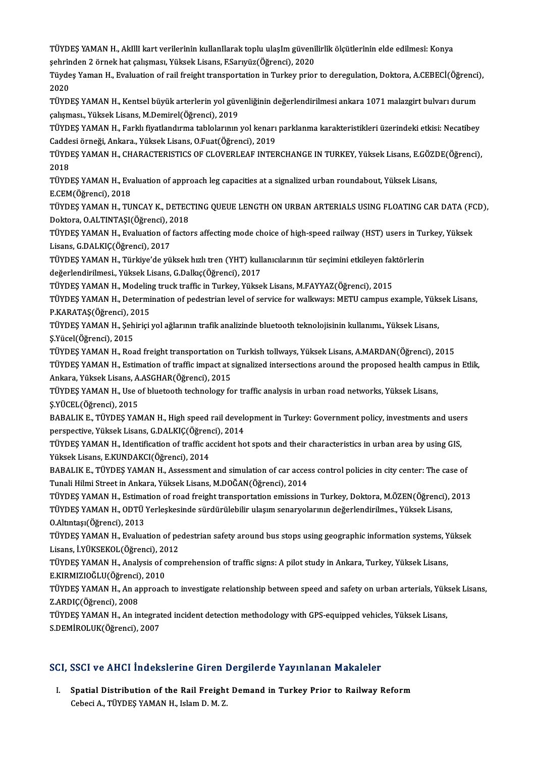TÜYDEŞ YAMAN H., AkIlli kart verilerinin kullanIlarak toplu ulaşIm güvenilirlik ölçütlerinin elde edilmesi: Konya<br>Sehrinden 3 örnek hat seksmesi, Yüksek Lisans, ESerwüz(Öğrensi), 2020 TÜYDEŞ YAMAN H., AkIllI kart verilerinin kullanIlarak toplu ulaşIm güveni<br>şehrinden 2 örnek hat çalışması, Yüksek Lisans, F.Sarıyüz(Öğrenci), 2020<br>Tüydes Yaman H., Evalustian of nail freight transportation in Turkey prior TÜYDEŞ YAMAN H., AkIllI kart verilerinin kullanIlarak toplu ulaşIm güvenilirlik ölçütlerinin elde edilmesi: Konya<br>şehrinden 2 örnek hat çalışması, Yüksek Lisans, F.Sarıyüz(Öğrenci), 2020<br>Tüydeş Yaman H., Evaluation of rail

şehrinden 2 örnek hat çalışması, Yüksek Lisans, F.Sarıyüz(Öğrenci), 2020<br>Tüydeş Yaman H., Evaluation of rail freight transportation in Turkey prior to deregulation, Doktora, A.CEBECİ(Öğrenci),<br>2020 Tüydeş Yaman H., Evaluation of rail freight transportation in Turkey prior to deregulation, Doktora, A.CEBECİ(Öğrenci)<br>2020<br>TÜYDEŞ YAMAN H., Kentsel büyük arterlerin yol güvenliğinin değerlendirilmesi ankara 1071 malazgirt

2020<br>TÜYDEŞ YAMAN H., Kentsel büyük arterlerin yol güv<br>çalışması., Yüksek Lisans, M.Demirel(Öğrenci), 2019<br>TÜYDES YAMAN H., Farklı fivatlandırma tablolarının TÜYDEŞ YAMAN H., Kentsel büyük arterlerin yol güvenliğinin değerlendirilmesi ankara 1071 malazgirt bulvarı durum<br>çalışması., Yüksek Lisans, M.Demirel(Öğrenci), 2019<br>TÜYDEŞ YAMAN H., Farklı fiyatlandırma tablolarının yol ke

çalışması., Yüksek Lisans, M.Demirel(Öğrenci), 2019<br>TÜYDEŞ YAMAN H., Farklı fiyatlandırma tablolarının yol kenarı<br>Caddesi örneği, Ankara., Yüksek Lisans, O.Fuat(Öğrenci), 2019<br>TÜYDES YAMAN H., CHARACTERISTICS OE CLOVERLEAE TÜYDEŞ YAMAN H., Farklı fiyatlandırma tablolarının yol kenarı parklanma karakteristikleri üzerindeki etkisi: Necatibey<br>Caddesi örneği, Ankara., Yüksek Lisans, O.Fuat(Öğrenci), 2019<br>TÜYDEŞ YAMAN H., CHARACTERISTICS OF CLOVE

Cadde<br>TÜYDI<br>2018<br>TÜYDI TÜYDEŞ YAMAN H., CHARACTERISTICS OF CLOVERLEAF INTERCHANGE IN TURKEY, Yüksek Lisans, E.GÖZI<br>2018<br>TÜYDEŞ YAMAN H., Evaluation of approach leg capacities at a signalized urban roundabout, Yüksek Lisans,<br>E CEM(Öğrengi), 2019

2018<br>TÜYDEŞ YAMAN H., Eva<br>E.CEM(Öğrenci), 2018<br>TÜYDES YAMAN H., TU

TÜYDEŞ YAMAN H., Evaluation of approach leg capacities at a signalized urban roundabout, Yüksek Lisans,<br>E.CEM(Öğrenci), 2018<br>TÜYDEŞ YAMAN H., TUNCAY K., DETECTING QUEUE LENGTH ON URBAN ARTERIALS USING FLOATING CAR DATA (FC E.CEM(Öğrenci), 2018<br>TÜYDEŞ YAMAN H., TUNCAY K., DETEC<br>Doktora, O.ALTINTAŞI(Öğrenci), 2018<br>TÜYDES YAMAN H., Evoluation of fasto TÜYDEŞ YAMAN H., TUNCAY K., DETECTING QUEUE LENGTH ON URBAN ARTERIALS USING FLOATING CAR DATA (FO<br>Doktora, O.ALTINTAŞI(Öğrenci), 2018<br>TÜYDEŞ YAMAN H., Evaluation of factors affecting mode choice of high-speed railway (HST)

Doktora, O.ALTINTAŞI(Öğrenci), 2<br>TÜYDEŞ YAMAN H., Evaluation of<br>Lisans, G.DALKIÇ(Öğrenci), 2017<br>TÜYDES YAMAN H. Türkiye'de yü TÜYDEŞ YAMAN H., Evaluation of factors affecting mode choice of high-speed railway (HST) users in Tu:<br>Lisans, G.DALKIÇ(Öğrenci), 2017<br>TÜYDEŞ YAMAN H., Türkiye'de yüksek hızlı tren (YHT) kullanıcılarının tür seçimini etkile

Lisans, G.DALKIÇ(Öğrenci), 2017<br>TÜYDEŞ YAMAN H., Türkiye'de yüksek hızlı tren (YHT) kullanıcılarının tür seçimini etkileyen fal<br>değerlendirilmesi., Yüksek Lisans, G.Dalkıç(Öğrenci), 2017<br>TÜYDEŞ YAMAN H., Modeling truck tra TÜYDEŞ YAMAN H., Türkiye'de yüksek hızlı tren (YHT) kullanıcılarının tür seçimini etkileyen faktörlerin

değerlendirilmesi., Yüksek Lisans, G.Dalkıç(Öğrenci), 2017<br>TÜYDEŞ YAMAN H., Modeling truck traffic in Turkey, Yüksek Lisans, M.FAYYAZ(Öğrenci), 2015<br>TÜYDEŞ YAMAN H., Determination of pedestrian level of service for walkway TÜYDEŞ YAMAN H., Modelin<br>TÜYDEŞ YAMAN H., Determi<br>P.KARATAŞ(Öğrenci), 2015<br>TÜYDES YAMAN H. Sebirici TÜYDEŞ YAMAN H., Determination of pedestrian level of service for walkways: METU campus example, Yüks<br>P.KARATAŞ(Öğrenci), 2015<br>TÜYDEŞ YAMAN H., Şehiriçi yol ağlarının trafik analizinde bluetooth teknolojisinin kullanımı.,

P.KARATAŞ(Öğrenci), 2015<br>TÜYDEŞ YAMAN H., Şehiriçi yol ağlarının trafik analizinde bluetooth teknolojisinin kullanımı., Yüksek Lisans,<br>Ş.Yücel(Öğrenci), 2015 TÜYDEŞ YAMAN H., Şehiriçi yol ağlarının trafik analizinde bluetooth teknolojisinin kullanımı., Yüksek Lisans,<br>Ş.Yücel(Öğrenci), 2015<br>TÜYDEŞ YAMAN H., Road freight transportation on Turkish tollways, Yüksek Lisans, A.MARDAN

Ş.Yücel(Öğrenci), 2015<br>TÜYDEŞ YAMAN H., Road freight transportation on Turkish tollways, Yüksek Lisans, A.MARDAN(Öğrenci), 2015<br>TÜYDEŞ YAMAN H., Estimation of traffic impact at signalized intersections around the proposed TÜYDEŞ YAMAN H., Road freight transportation on<br>TÜYDEŞ YAMAN H., Estimation of traffic impact at s<br>Ankara, Yüksek Lisans, A.ASGHAR(Öğrenci), 2015<br>TÜYDES YAMAN H. Has of bluateath technology fo TÜYDEŞ YAMAN H., Estimation of traffic impact at signalized intersections around the proposed health camp<br>Ankara, Yüksek Lisans, A.ASGHAR(Öğrenci), 2015<br>TÜYDEŞ YAMAN H., Use of bluetooth technology for traffic analysis in

Ankara, Yüksek Lisans, A.ASGHAR(Öğrenci), 2015<br>TÜYDEŞ YAMAN H., Use of bluetooth technology for traffic analysis in urban road networks, Yüksek Lisans,<br>Ş.YÜCEL(Öğrenci), 2015 TÜYDEŞ YAMAN H., Use of bluetooth technology for traffic analysis in urban road networks, Yüksek Lisans,<br>Ş.YÜCEL(Öğrenci), 2015<br>BABALIK E., TÜYDEŞ YAMAN H., High speed rail development in Turkey: Government policy, investm

Ş.YÜCEL(Öğrenci), 2015<br>BABALIK E., TÜYDEŞ YAMAN H., High speed rail develo<br>perspective, Yüksek Lisans, G.DALKIÇ(Öğrenci), 2014<br>TÜYDES YAMAN H. Identifiaation of traffia assident he BABALIK E., TÜYDEŞ YAMAN H., High speed rail development in Turkey: Government policy, investments and user<br>perspective, Yüksek Lisans, G.DALKIÇ(Öğrenci), 2014<br>TÜYDEŞ YAMAN H., Identification of traffic accident hot spots

perspective, Yüksek Lisans, G.DALKIÇ(Öğrenci), 2014<br>TÜYDEŞ YAMAN H., Identification of traffic accident hot spots and their characteristics in urban area by using GIS,<br>Yüksek Lisans, E.KUNDAKCI(Öğrenci), 2014 TÜYDEŞ YAMAN H., Identification of traffic accident hot spots and their characteristics in urban area by using GIS,<br>Yüksek Lisans, E.KUNDAKCI(Öğrenci), 2014<br>BABALIK E., TÜYDEŞ YAMAN H., Assessment and simulation of car acc

Yüksek Lisans, E.KUNDAKCI(Öğrenci), 2014<br>BABALIK E., TÜYDEŞ YAMAN H., Assessment and simulation of car acces<br>Tunali Hilmi Street in Ankara, Yüksek Lisans, M.DOĞAN(Öğrenci), 2014<br>TÜYDES YAMAN H., Estimation of road freight BABALIK E., TÜYDEŞ YAMAN H., Assessment and simulation of car access control policies in city center: The case of<br>Tunali Hilmi Street in Ankara, Yüksek Lisans, M.DOĞAN(Öğrenci), 2014<br>TÜYDEŞ YAMAN H., Estimation of road fre

Tunali Hilmi Street in Ankara, Yüksek Lisans, M.DOĞAN(Öğrenci), 2014<br>TÜYDEŞ YAMAN H., Estimation of road freight transportation emissions in Turkey, Doktora, M.ÖZEN(Öğrenci), ;<br>TÜYDEŞ YAMAN H., ODTÜ Yerleşkesinde sürdürüle TÜYDEŞ YAMAN H., Estima<br>TÜYDEŞ YAMAN H., ODTÜ<br>O.Altıntaşı(Öğrenci), 2013<br>TÜYDES YAMAN H., Evalua TÜYDEŞ YAMAN H., ODTÜ Yerleşkesinde sürdürülebilir ulaşım senaryolarının değerlendirilmes., Yüksek Lisans,<br>O.Altıntaşı(Öğrenci), 2013<br>TÜYDEŞ YAMAN H., Evaluation of pedestrian safety around bus stops using geographic infor

O.Altıntaşı(Öğrenci), 2013<br>TÜYDEŞ YAMAN H., Evaluation of pe<br>Lisans, İ.YÜKSEKOL(Öğrenci), 2012<br>TÜYDES YAMAN H. Analysis of somı TÜYDEŞ YAMAN H., Evaluation of pedestrian safety around bus stops using geographic information systems, Y<br>Lisans, İ.YÜKSEKOL(Öğrenci), 2012<br>TÜYDEŞ YAMAN H., Analysis of comprehension of traffic signs: A pilot study in Anka

Lisans, İ.YÜKSEKOL(Öğrenci), 2012<br>TÜYDEŞ YAMAN H., Analysis of comprehension of traffic signs: A pilot study in Ankara, Turkey, Yüksek Lisans,<br>E.KIRMIZIOĞLU(Öğrenci), 2010 TÜYDEŞ YAMAN H., Analysis of comprehension of traffic signs: A pilot study in Ankara, Turkey, Yüksek Lisans,<br>E.KIRMIZIOĞLU(Öğrenci), 2010<br>TÜYDEŞ YAMAN H., An approach to investigate relationship between speed and safety on

E.KIRMIZIOĞLU(Öğrenci)<br>TÜYDEŞ YAMAN H., An a<sub>l</sub><br>Z.ARDIÇ(Öğrenci), 2008<br>TÜYDES YAMAN H. An in TÜYDEŞ YAMAN H., An approach to investigate relationship between speed and safety on urban arterials, Yük<br>Z.ARDIÇ(Öğrenci), 2008<br>TÜYDEŞ YAMAN H., An integrated incident detection methodology with GPS-equipped vehicles, Yük

Z.ARDIÇ(Öğrenci), 2008<br>TÜYDEŞ YAMAN H., An integrated incident detection methodology with GPS-equipped vehicles, Yüksek Lisans,<br>S.DEMİROLUK(Öğrenci), 2007

### SCI, SSCI ve AHCI İndekslerine Giren Dergilerde Yayınlanan Makaleler

CI, SSCI ve AHCI İndekslerine Giren Dergilerde Yayınlanan Makaleler<br>I. Spatial Distribution of the Rail Freight Demand in Turkey Prior to Railway Reform<br>Cebesi A. TÜVDES YAMAN H. Jelem D. M. 7 SOGT VO TITLET INCONSIGENCE CH ON THE<br>Spatial Distribution of the Rail Freight<br>Cebeci A., TÜYDEŞ YAMAN H., Islam D. M. Z.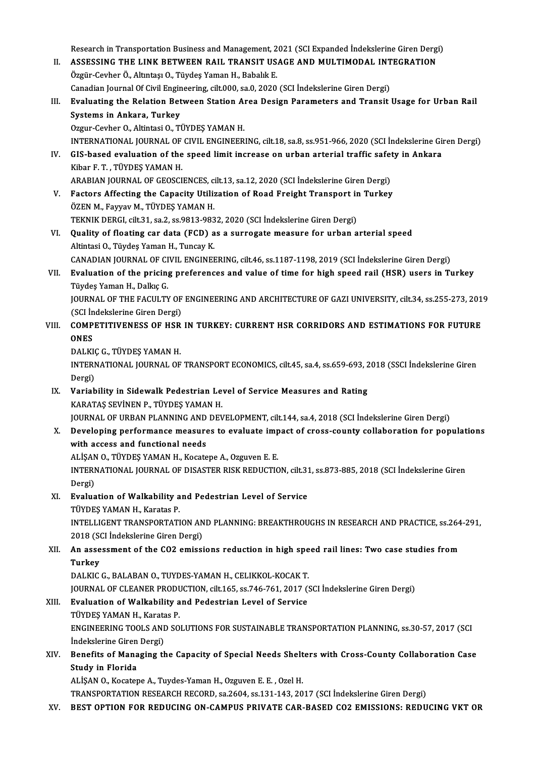Research in Transportation Business and Management, 2021 (SCI Expanded Indekslerine Giren Dergi)<br>ASSESSING THE LINK RETWEEN RAIL TRANSIT USAGE AND MULTIMODAL INTEGRATION

- Research in Transportation Business and Management, 2021 (SCI Expanded Indekslerine Giren Dergi<br>II. ASSESSING THE LINK BETWEEN RAIL TRANSIT USAGE AND MULTIMODAL INTEGRATION Research in Transportation Business and Management, 2<br>ASSESSING THE LINK BETWEEN RAIL TRANSIT US.<br>Özgür-Cevher Ö., Altıntaşı O., Tüydeş Yaman H., Babalık E.<br>Canadian Journal Of Civil Engineering, silt 000, sa 0, 2020 II. ASSESSING THE LINK BETWEEN RAIL TRANSIT USAGE AND MULTIMODAL INTEGRATION<br>Özgür-Cevher Ö., Altıntası O., Tüydes Yaman H., Babalık E. Canadian Journal Of Civil Engineering, cilt000, sa.0, 2020 (SCI Indekslerine Giren Dergi)
- III. Evaluating the Relation Between Station Area Design Parameters and Transit Usage for Urban Rail Systems in Ankara, Turkey

Ozgur-Cevher O., Altintasi O., TÜYDEŞ YAMAN H.

INTERNATIONAL JOURNALOF CIVIL ENGINEERING, cilt.18, sa.8, ss.951-966,2020 (SCI İndekslerineGirenDergi)

IV. GIS-based evaluation of the speed limit increase on urban arterial traffic safety in Ankara Kibar F.T., TÜYDEŞ YAMAN H. GIS-based evaluation of the speed limit increase on urban arterial traffic safet<br>Kibar F. T. , TÜYDEŞ YAMAN H.<br>ARABIAN JOURNAL OF GEOSCIENCES, cilt.13, sa.12, 2020 (SCI İndekslerine Giren Dergi)<br>Factors Affecting the Canac

V. Factors Affecting the Capacity Utilization of Road Freight Transport in Turkey ARABIAN JOURNAL OF GEOSCIENCES, contractors Affecting the Capacity Utiliz<br>ÖZEN M., Fayyav M., TÜYDEŞ YAMAN H.<br>TEKNIK DEPCL silt 21, so 2, so 0912, 092 Factors Affecting the Capacity Utilization of Road Freight Transport in<br>ÖZEN M., Fayyav M., TÜYDEŞ YAMAN H.<br>TEKNIK DERGI, cilt.31, sa.2, ss.9813-9832, 2020 (SCI İndekslerine Giren Dergi)<br>Quality of floating san data (EGD)

- VI. Quality of floating car data (FCD) as a surrogate measure for urban arterial speed<br>Altintasi O., Tüydeş Yaman H., Tuncay K. TEKNIK DERGI, cilt.31, sa.2, ss.9813-983<br>Quality of floating car data (FCD) a<br>Altintasi O., Tüydeş Yaman H., Tuncay K.<br>CANADIAN JOUPNAL OF CIVIL ENCINER CANADIANJOURNALOF CIVIL ENGINEERING, cilt.46, ss.1187-1198,2019 (SCI İndekslerineGirenDergi) Altintasi O., Tüydeş Yaman H., Tuncay K.<br>CANADIAN JOURNAL OF CIVIL ENGINEERING, cilt.46, ss.1187-1198, 2019 (SCI İndekslerine Giren Dergi)<br>VII. Evaluation of the pricing preferences and value of time for high speed rai
	-
	- CANADIAN JOURNAL OF CI<br>Evaluation of the pricing<br>Tüydeş Yaman H., Dalkıç G.<br>JOUPNAL OF THE FACULTY Evaluation of the pricing preferences and value of time for high speed rail (HSR) users in Turkey<br>Tüydeş Yaman H., Dalkıç G.<br>JOURNAL OF THE FACULTY OF ENGINEERING AND ARCHITECTURE OF GAZI UNIVERSITY, cilt.34, ss.255-273, 2 Tüydeş Yaman H., Dalkıç G.<br>JOURNAL OF THE FACULTY OF<br>(SCI İndekslerine Giren Dergi)<br>COMBETITIVENESS OF HSP

## JOURNAL OF THE FACULTY OF ENGINEERING AND ARCHITECTURE OF GAZI UNIVERSITY, cilt.34, ss.255-273, 201<br>(SCI Indekslerine Giren Dergi)<br>VIII. COMPETITIVENESS OF HSR IN TURKEY: CURRENT HSR CORRIDORS AND ESTIMATIONS FOR FUTURE<br>ON (SCI İn<br>COMP)<br>ONES<br>DALKE COMPETITIVENESS OF HSR<br>ONES<br>DALKIÇ G., TÜYDEŞ YAMAN H.<br>INTERNATIONAL JOURNAL OF

ONES<br>DALKIÇ G., TÜYDEŞ YAMAN H.<br>INTERNATIONAL JOURNAL OF TRANSPORT ECONOMICS, cilt.45, sa.4, ss.659-693, 2018 (SSCI İndekslerine Giren DALKI<br>INTERI<br>Dergi)<br>Verjeb INTERNATIONAL JOURNAL OF TRANSPORT ECONOMICS, cilt.45, sa.4, ss.659-693, 2<br>Dergi)<br>IX. Variability in Sidewalk Pedestrian Level of Service Measures and Rating<br>KARATAS SEVINEN B TÜVDES VAMAN H

## Dergi)<br>IX. Variability in Sidewalk Pedestrian Level of Service Measures and Rating<br>KARATAŞ SEVİNEN P., TÜYDEŞ YAMAN H. Variability in Sidewalk Pedestrian Level of Service Measures and Rating<br>KARATAŞ SEVİNEN P., TÜYDEŞ YAMAN H.<br>JOURNAL OF URBAN PLANNING AND DEVELOPMENT, cilt.144, sa.4, 2018 (SCI İndekslerine Giren Dergi)<br>Develening perferma

## X. Developing performance measures to evaluate impact of cross-county collaboration for populations with access and functional needs JOURNAL OF URBAN PLANNING AND<br>Developing performance measure<br>with access and functional needs<br>ALISAN O TÜVDES VAMAN H Kosats Developing performance measures to evaluate imp<br>with access and functional needs<br>ALİŞAN O., TÜYDEŞ YAMAN H., Kocatepe A., Ozguven E. E.<br>INTERNATIONAL JOURNAL OF DISASTER RISK REDUCTIC

INTERNATIONAL JOURNAL OF DISASTER RISK REDUCTION, cilt.31, ss.873-885, 2018 (SCI İndekslerine Giren<br>Dergi) ALİŞAN<br>INTERI<br>Dergi)<br>Evalua INTERNATIONAL JOURNAL OF DISASTER RISK REDUCTION, cilt.31<br>Dergi)<br>XI. Evaluation of Walkability and Pedestrian Level of Service

# Dergi)<br><mark>Evaluation of Walkability a</mark><br>TÜYDEŞ YAMAN H., Karatas P.<br>INTELLICENT TRANSPOPTATI

Evaluation of Walkability and Pedestrian Level of Service<br>TÜYDEŞ YAMAN H., Karatas P.<br>INTELLIGENT TRANSPORTATION AND PLANNING: BREAKTHROUGHS IN RESEARCH AND PRACTICE, ss.264-291,<br>2018 (SCLIndelislerine Ciren Dergi) TÜYDEŞ YAMAN H., Karatas P.<br>INTELLIGENT TRANSPORTATION AN<br>2018 (SCI İndekslerine Giren Dergi)<br>An assossment of the CO2 emissi INTELLIGENT TRANSPORTATION AND PLANNING: BREAKTHROUGHS IN RESEARCH AND PRACTICE, ss.264<br>2018 (SCI İndekslerine Giren Dergi)<br>XII. An assessment of the CO2 emissions reduction in high speed rail lines: Two case studies f

# 2018 (SCI İndekslerine Giren Dergi)<br>XII. An assessment of the CO2 emissions reduction in high speed rail lines: Two case studies from<br>Turkey Turkey<br>DALKIC G., BALABAN O., TUYDES-YAMAN H., CELIKKOL-KOCAK T.<br>JOURNAL OF CLEANER PRODUCTION, cilt.165, ss.746-761, 2017 (SCI İndekslerine Giren Dergi)<br>Fualuation of Walkability and Pedestrian Lavel of Sarvise.

DALKIC G., BALABAN O., TUYDES-YAMAN H., CELIKKOL-KOCAK T.

## XIII. Evaluation of Walkability and Pedestrian Level of Service **JOURNAL OF CLEANER PRODU<br>Evaluation of Walkability a<br>TÜYDEŞ YAMAN H., Karatas P.<br>ENCINEEPINC TOOLS AND SO**

TÜYDES YAMAN H., Karatas P.

ENGINEERING TOOLS AND SOLUTIONS FOR SUSTAINABLE TRANSPORTATION PLANNING, ss.30-57, 2017 (SCI<br>İndekslerine Giren Dergi) ENGINEERING TOOLS AND SOLUTIONS FOR SUSTAINABLE TRANSPORTATION PLANNING, ss.30-57, 2017 (SCI<br>Indekslerine Giren Dergi)<br>XIV. Benefits of Managing the Capacity of Special Needs Shelters with Cross-County Collaboration Case<br>S

## Indekslerine Giren<br>Benefits of Mana<br>Study in Florida<br>ALISANO Kesster Benefits of Managing the Capacity of Special Needs Shelt<br>Study in Florida<br>ALİŞAN O., Kocatepe A., Tuydes-Yaman H., Ozguven E. E. , Ozel H.<br>TRANSPORTATION RESEARCH RECORD *s*a 2604, sa 131,142,20 Study in Florida<br>ALİŞAN O., Kocatepe A., Tuydes-Yaman H., Ozguven E. E. , Ozel H.<br>TRANSPORTATION RESEARCH RECORD, sa.2604, ss.131-143, 2017 (SCI İndekslerine Giren Dergi)

### XV. BEST OPTION FOR REDUCING ON-CAMPUS PRIVATE CAR-BASED CO2 EMISSIONS: REDUCING VKT OR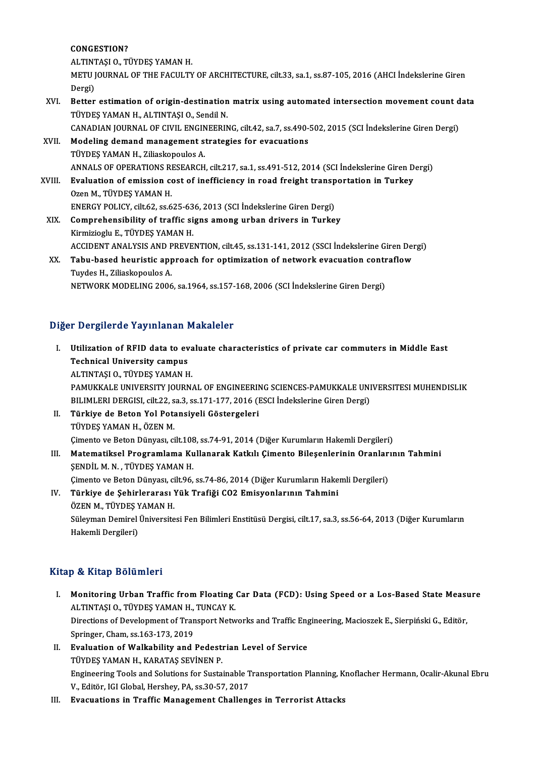### CONGESTION?

ALTINTAŞIO.,TÜYDEŞYAMANH.

CONGESTION?<br>ALTINTAȘI O., TÜYDEȘ YAMAN H.<br>METU JOURNAL OF THE FACULTY OF ARCHITECTURE, cilt.33, sa.1, ss.87-105, 2016 (AHCI İndekslerine Giren ALTINT<br>METU J<br>Dergi)<br>Petter METU JOURNAL OF THE FACULTY OF ARCHITECTURE, cilt.33, sa.1, ss.87-105, 2016 (AHCI Indekslerine Giren<br>Dergi)<br>XVI. Better estimation of origin-destination matrix using automated intersection movement count data<br>TUVDES VAMAN

Dergi)<br>Better estimation of origin-destination<br>TÜYDEŞ YAMAN H., ALTINTAŞI O., Sendil N.<br>CANADIAN JOUPNAL OE CIVIL ENCINEEPIN Better estimation of origin-destination matrix using automated intersection movement count d<br>TÜYDEŞ YAMAN H., ALTINTAŞI O., Sendil N.<br>CANADIAN JOURNAL OF CIVIL ENGINEERING, cilt.42, sa.7, ss.490-502, 2015 (SCI İndekslerine

TÜYDEŞ YAMAN H., ALTINTAŞI O., Sendil N.<br>CANADIAN JOURNAL OF CIVIL ENGINEERING, cilt.42, sa.7, ss.490-<br>XVII. Modeling demand management strategies for evacuations<br>TÜYDES VAMAN H. Ziljaskopoules A

- CANADIAN JOURNAL OF CIVIL ENGIN<br>Modeling demand management s<br>TÜYDEŞ YAMAN H., Ziliaskopoulos A.<br>ANNALS OF OPERATIONS PESEARCH Modeling demand management strategies for evacuations<br>TÜYDEŞ YAMAN H., Ziliaskopoulos A.<br>ANNALS OF OPERATIONS RESEARCH, cilt.217, sa.1, ss.491-512, 2014 (SCI İndekslerine Giren Dergi) TÜYDEŞ YAMAN H., Ziliaskopoulos A.<br>ANNALS OF OPERATIONS RESEARCH, cilt.217, sa.1, ss.491-512, 2014 (SCI İndekslerine Giren D<br>XVIII. Evaluation of emission cost of inefficiency in road freight transportation in Turkey<br>Ogen
- ANNALS OF OPERATIONS RI<br>Evaluation of emission company<br>Ozen M., TÜYDEŞ YAMAN H.<br>ENEPCY POLICY silt 62, 88.6 Evaluation of emission cost of inefficiency in road freight transp<br>Ozen M., TÜYDEŞ YAMAN H.<br>ENERGY POLICY, cilt.62, ss.625-636, 2013 (SCI İndekslerine Giren Dergi)<br>Comprehensibility of traffis signs among urban drivers in Ozen M., TÜYDEŞ YAMAN H.<br>ENERGY POLICY, cilt.62, ss.625-636, 2013 (SCI İndekslerine Giren Dergi)<br>XIX. Comprehensibility of traffic signs among urban drivers in Turkey<br>Kinmiziogly E. TÜYDES YAMAN H
- ENERGY POLICY, cilt.62, ss.625-63<br>Comprehensibility of traffic si<br>Kirmizioglu E., TÜYDEŞ YAMAN H.<br>ACCIDENT ANALYSIS AND PREVE Comprehensibility of traffic signs among urban drivers in Turkey<br>Kirmizioglu E., TÜYDEŞ YAMAN H.<br>ACCIDENT ANALYSIS AND PREVENTION, cilt.45, ss.131-141, 2012 (SSCI İndekslerine Giren Dergi)<br>Tabu basad beunistis annuasab far Kirmizioglu E., TÜYDEŞ YAMAN H.<br>ACCIDENT ANALYSIS AND PREVENTION, cilt.45, ss.131-141, 2012 (SSCI İndekslerine Giren Der<br>XX. Tabu-based heuristic approach for optimization of network evacuation contraflow<br>Twrdes H. Ziliesk
- ACCIDENT ANALYSIS AND P<br>Tabu-based heuristic app<br>Tuydes H., Ziliaskopoulos A.<br>NETWORK MODELING 2006 XX. Tabu-based heuristic approach for optimization of network evacuation contraflow<br>Tuydes H., Ziliaskopoulos A.<br>NETWORK MODELING 2006, sa.1964, ss.157-168, 2006 (SCI İndekslerine Giren Dergi)

### Diğer Dergilerde Yayınlanan Makaleler

- Iger Dergilerde Yayınlanan Makaleler<br>I. Utilization of RFID data to evaluate characteristics of private car commuters in Middle East<br>Technical University campus TECHNICAL TRIMATION<br>Utilization of RFID data to ev<br>Technical University campus<br>ALTINTASLO TÜVDES VAMAN H Utilization of RFID data to eva<br>Technical University campus<br>ALTINTAŞI O., TÜYDEŞ YAMAN H.<br>PAMIKKALE UNIVERSITY JOUPN. Technical University campus<br>ALTINTAȘI O., TÜYDEȘ YAMAN H.<br>PAMUKKALE UNIVERSITY JOURNAL OF ENGINEERING SCIENCES-PAMUKKALE UNIVERSITESI MUHENDISLIK<br>PILIMI EPLDERCISL Gilt 22, co 2, co 171 177, 2016 (ESCLI Indekslering Giron ALTINTAȘI O., TÜYDEȘ YAMAN H.<br>PAMUKKALE UNIVERSITY JOURNAL OF ENGINEERING SCIENCES-PAMUKKALE UNI<br>BILIMLERI DERGISI, cilt.22, sa.3, ss.171-177, 2016 (ESCI İndekslerine Giren Dergi)<br>Türkiye de Beten Vel Betensiyeli Cöstergel PAMUKKALE UNIVERSITY JOURNAL OF ENGINEERIN<br>BILIMLERI DERGISI, cilt.22, sa.3, ss.171-177, 2016 (I<br>II. Türkiye de Beton Yol Potansiyeli Göstergeleri BILIMLERI DERGISI, cilt.22, sa.3, ss.171-177, 2016 (ESCI İndekslerine Giren Dergi)<br>Türkiye de Beton Yol Potansiyeli Göstergeleri<br>TÜYDEŞ YAMAN H., ÖZEN M.
- Türkiye de Beton Yol Potansiyeli Göstergeleri<br>TÜYDEŞ YAMAN H., ÖZEN M.<br>Çimento ve Beton Dünyası, cilt.108, ss.74-91, 2014 (Diğer Kurumların Hakemli Dergileri)<br>Matamatikası Prosyamlama Kullanarak Katkılı Cimanta Bilasanları

III. Matematiksel Programlama Kullanarak Katkılı Çimento Bileşenlerinin Oranlarının Tahmini<br>ŞENDİL M. N., TÜYDEŞ YAMAN H. Çimento ve Beton Dünyası, cilt.108<br>Matematiksel Programlama Ku<br>ŞENDİL M. N. , TÜYDEŞ YAMAN H.<br>Gimente ve Betan Dünyası, silt.06 Matematiksel Programlama Kullanarak Katkılı Çimento Bileşenlerinin Oranlar:<br>ŞENDİL M.N., TÜYDEŞ YAMAN H.<br>Çimento ve Beton Dünyası, cilt.96, ss.74-86, 2014 (Diğer Kurumların Hakemli Dergileri)<br>Türkiye de Sehirlereresı Yük T ŞENDİL M. N. , TÜYDEŞ YAMAN H.<br>Çimento ve Beton Dünyası, cilt.96, ss.74-86, 2014 (Diğer Kurumların Hake<br>IV. Türkiye de Şehirlerarası Yük Trafiği CO2 Emisyonlarının Tahmini<br>ÖZEN M. TÜYDES YAMAN H

Çimento ve Beton Dünyası, ci<br>Türkiye de Şehirlerarası<br>ÖZEN M., TÜYDEŞ YAMAN H.<br>Süleyman Demirel Üniversite IV. Türkiye de Şehirlerarası Yük Trafiği CO2 Emisyonlarının Tahmini<br>ÖZEN M., TÜYDEŞ YAMAN H.<br>Süleyman Demirel Üniversitesi Fen Bilimleri Enstitüsü Dergisi, cilt.17, sa.3, ss.56-64, 2013 (Diğer Kurumların<br>Hakemli Dergileri) ÖZEN M., TÜYDEŞ YAMAN H.

### Kitap & Kitap Bölümleri

- Itap & Kitap Bölümleri<br>I. Monitoring Urban Traffic from Floating Car Data (FCD): Using Speed or a Los-Based State Measure<br>ALTINTASLO TÜVDES VAMAN H. TUNGAV K **Monitoring Urban Traffic from Floating<br>ALTINTAŞI O., TÜYDEŞ YAMAN H., TUNCAY K.<br>Directions of Development of Transport Natu** Monitoring Urban Traffic from Floating Car Data (FCD): Using Speed or a Los-Based State Meası<br>ALTINTAŞI 0., TÜYDEŞ YAMAN H., TUNCAY K.<br>Directions of Development of Transport Networks and Traffic Engineering, Macioszek E., ALTINTAȘI O., TÜYDEȘ YAMAN H., TUNCAY K.<br>Directions of Development of Transport Networks and Traffic Engineering, Macioszek E., Sierpiński G., Editör,<br>Springer, Cham, ss.163-173, 2019 Directions of Development of Transport Networks and Traffic Eng<br>Springer, Cham, ss.163-173, 2019<br>II. Evaluation of Walkability and Pedestrian Level of Service<br>TÜVDES VAMAN H. KARATAS SEVINEN B
- Springer, Cham, ss.163-173, 2019<br><mark>Evaluation of Walkability and Pedest</mark><br>TÜYDEŞ YAMAN H., KARATAŞ SEVİNEN P.<br>Engineering Teela and Selutions for Susta Evaluation of Walkability and Pedestrian Level of Service<br>TÜYDEŞ YAMAN H., KARATAŞ SEVİNEN P.<br>Engineering Tools and Solutions for Sustainable Transportation Planning, Knoflacher Hermann, Ocalir-Akunal Ebru<br>V. Editär JCLClo TÜYDEŞ YAMAN H., KARATAŞ SEVİNEN P.<br>Engineering Tools and Solutions for Sustainable T<br>V., Editör, IGI Global, Hershey, PA, ss.30-57, 2017<br>Evacuations in Traffic Management Challene Engineering Tools and Solutions for Sustainable Transportation Planning, K<br>V., Editör, IGI Global, Hershey, PA, ss.30-57, 2017<br>III. Evacuations in Traffic Management Challenges in Terrorist Attacks
-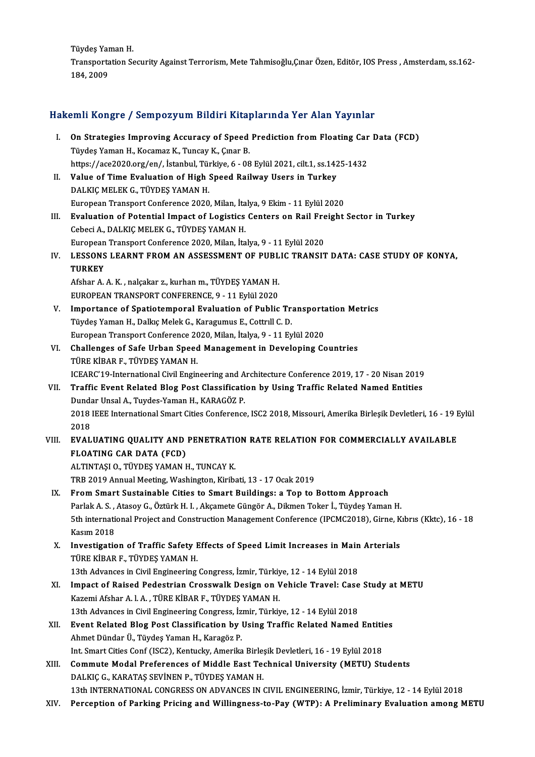Tüydeş Yaman H.

Tüydeş Yaman H.<br>Transportation Security Against Terrorism, Mete Tahmisoğlu,Çınar Özen, Editör, IOS Press , Amsterdam, ss.162-<br>184, 2000 Tüydeş Yar<br>Transporta<br>184, 2009

# 184,2009<br>Hakemli Kongre / Sempozyum Bildiri Kitaplarında Yer Alan Yayınlar

|       | Hakemli Kongre / Sempozyum Bildiri Kitaplarında Yer Alan Yayınlar                                                                            |
|-------|----------------------------------------------------------------------------------------------------------------------------------------------|
| L.    | On Strategies Improving Accuracy of Speed Prediction from Floating Car Data (FCD)<br>Tüydeş Yaman H., Kocamaz K., Tuncay K., Çınar B.        |
|       | https://ace2020.org/en/, İstanbul, Türkiye, 6 - 08 Eylül 2021, cilt.1, ss.1425-1432                                                          |
| П.    | Value of Time Evaluation of High Speed Railway Users in Turkey                                                                               |
|       | DALKIÇ MELEK G, TÜYDEŞ YAMAN H.                                                                                                              |
|       | European Transport Conference 2020, Milan, İtalya, 9 Ekim - 11 Eylül 2020                                                                    |
| Ш.    | Evaluation of Potential Impact of Logistics Centers on Rail Freight Sector in Turkey                                                         |
|       | Cebeci A., DALKIÇ MELEK G., TÜYDEŞ YAMAN H.                                                                                                  |
| IV.   | European Transport Conference 2020, Milan, İtalya, 9 - 11 Eylül 2020                                                                         |
|       | LESSONS LEARNT FROM AN ASSESSMENT OF PUBLIC TRANSIT DATA: CASE STUDY OF KONYA,                                                               |
|       | <b>TURKEY</b><br>Afshar A. A. K., nalçakar z., kurhan m., TÜYDEŞ YAMAN H.                                                                    |
|       | EUROPEAN TRANSPORT CONFERENCE, 9 - 11 Eylül 2020                                                                                             |
| V.    | Importance of Spatiotemporal Evaluation of Public Transportation Metrics                                                                     |
|       | Tüydeş Yaman H., Dalkıç Melek G., Karagumus E., Cottrıll C. D.                                                                               |
|       | European Transport Conference 2020, Milan, İtalya, 9 - 11 Eylül 2020                                                                         |
| VI.   | Challenges of Safe Urban Speed Management in Developing Countries                                                                            |
|       | TÜRE KİBAR F., TÜYDEŞ YAMAN H.                                                                                                               |
|       | ICEARC'19-International Civil Engineering and Architecture Conference 2019, 17 - 20 Nisan 2019                                               |
| VII.  | Traffic Event Related Blog Post Classification by Using Traffic Related Named Entities                                                       |
|       | Dundar Unsal A., Tuydes-Yaman H., KARAGÖZ P.                                                                                                 |
|       | 2018 IEEE International Smart Cities Conference, ISC2 2018, Missouri, Amerika Birleşik Devletleri, 16 - 19 Eylül                             |
|       | 2018                                                                                                                                         |
| VIII. | EVALUATING QUALITY AND PENETRATION RATE RELATION FOR COMMERCIALLY AVAILABLE                                                                  |
|       | <b>FLOATING CAR DATA (FCD)</b>                                                                                                               |
|       | ALTINTAȘI O., TÜYDEȘ YAMAN H., TUNCAY K.                                                                                                     |
|       | TRB 2019 Annual Meeting, Washington, Kiribati, 13 - 17 Ocak 2019                                                                             |
| IX.   | From Smart Sustainable Cities to Smart Buildings: a Top to Bottom Approach                                                                   |
|       | Parlak A. S. , Atasoy G., Öztürk H. I. , Akçamete Güngör A., Dikmen Toker İ., Tüydeş Yaman H.                                                |
|       | 5th international Project and Construction Management Conference (IPCMC2018), Girne, Kibris (Kktc), 16 - 18                                  |
|       | Kasım 2018                                                                                                                                   |
| Χ.    | Investigation of Traffic Safety Effects of Speed Limit Increases in Main Arterials                                                           |
|       | TÜRE KİBAR F., TÜYDEŞ YAMAN H.                                                                                                               |
| XI.   | 13th Advances in Civil Engineering Congress, İzmir, Türkiye, 12 - 14 Eylül 2018                                                              |
|       | Impact of Raised Pedestrian Crosswalk Design on Vehicle Travel: Case Study at METU<br>Kazemi Afshar A. I. A., TÜRE KİBAR F., TÜYDEŞ YAMAN H. |
|       | 13th Advances in Civil Engineering Congress, İzmir, Türkiye, 12 - 14 Eylül 2018                                                              |
|       | Event Related Blog Post Classification by Using Traffic Related Named Entities                                                               |
| XII.  | Ahmet Dündar Ü., Tüydeş Yaman H., Karagöz P.                                                                                                 |
|       | Int. Smart Cities Conf (ISC2), Kentucky, Amerika Birleşik Devletleri, 16 - 19 Eylül 2018                                                     |
| XIII. | Commute Modal Preferences of Middle East Technical University (METU) Students                                                                |
|       | DALKIÇ G., KARATAŞ SEVİNEN P., TÜYDEŞ YAMAN H.                                                                                               |
|       | 13th INTERNATIONAL CONGRESS ON ADVANCES IN CIVIL ENGINEERING, İzmir, Türkiye, 12 - 14 Eylül 2018                                             |
| XIV.  | Perception of Parking Pricing and Willingness-to-Pay (WTP): A Preliminary Evaluation among METU                                              |
|       |                                                                                                                                              |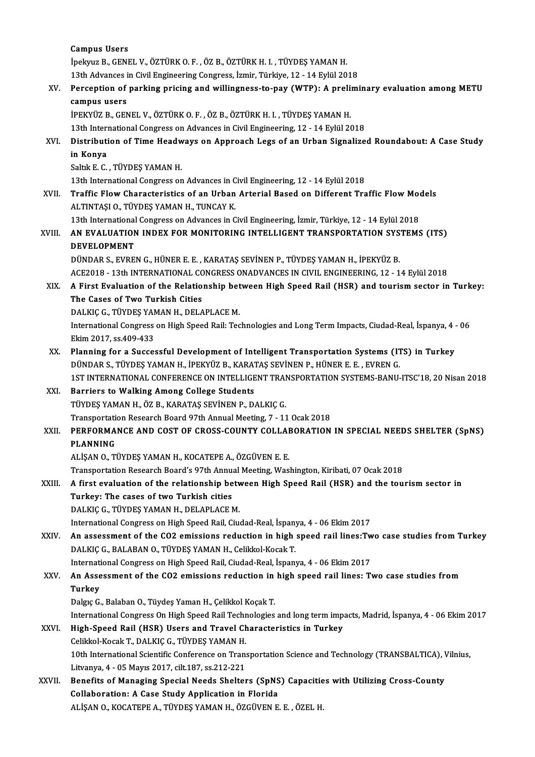Campus Users İpekyuz B., GENEL V., ÖZTÜRK O. F., ÖZ B., ÖZTÜRK H. I., TÜYDEŞ YAMAN H. 13th Advances in Civil Engineering Congress, İzmir, Türkiye, 12 - 14 Eylül 2018 ipekyuz B., GENEL V., ÖZTÜRK O. F. , ÖZ B., ÖZTÜRK H. I. , TÜYDEŞ YAMAN H.<br>13th Advances in Civil Engineering Congress, İzmir, Türkiye, 12 - 14 Eylül 2018<br>XV. Perception of parking pricing and willingness-to-pay (WTP): 13th Advances<br>Perception of<br>campus users<br>iperviiz p. CEN Perception of parking pricing and willingness-to-pay (WTP): A preli:<br>campus users<br>İPEKYÜZ B., GENEL V., ÖZTÜRK O. F. , ÖZ B., ÖZTÜRK H. I. , TÜYDEŞ YAMAN H.<br>12th International Congress on Advances in Civil Engineering 12 , campus users<br>13th International Congress on Anti-International Congress on Advances Vamanting, XVI. Distribution of Time Headways on Approach Legs of an Urban Signalized Roundabout: A Case Study 13th International Congress on Advances in Civil Engineering, 12 - 14 Eylül 2018 Saltık E.C., TÜYDEŞ YAMAN H. in Konya<br>Saltık E. C. , TÜYDEŞ YAMAN H.<br>13th International Congress on Advances in Civil Engineering, 12 - 14 Eylül 2018<br>Traffia Elew Charasteristics of an Urban Arterial Based en Different Tra XVII. Traffic Flow Characteristics of an Urban Arterial Based on Different Traffic Flow Models<br>ALTINTASI O., TÜYDES YAMAN H., TUNCAY K. 13th International Congress on Advances in C<br>Traffic Flow Characteristics of an Urban<br>ALTINTAȘI O., TÜYDEŞ YAMAN H., TUNCAY K. Traffic Flow Characteristics of an Urban Arterial Based on Different Traffic Flow Moore<br>ALTINTAȘI O., TÜYDEȘ YAMAN H., TUNCAY K.<br>13th International Congress on Advances in Civil Engineering, İzmir, Türkiye, 12 - 14 Eylül 2 ALTINTAŞI O., TÜYDEŞ YAMAN H., TUNCAY K.<br>13th International Congress on Advances in Civil Engineering, İzmir, Türkiye, 12 - 14 Eylül 2018<br>XVIII. AN EVALUATION INDEX FOR MONITORING INTELLIGENT TRANSPORTATION SYSTEMS (IT 13th International<br>**AN EVALUATION<br>DEVELOPMENT**<br>DÜNDAR S. EVPE AN EVALUATION INDEX FOR MONITORING INTELLIGENT TRANSPORTATION SYS<br>DEVELOPMENT<br>DÜNDAR S., EVREN G., HÜNER E. E. , KARATAŞ SEVİNEN P., TÜYDEŞ YAMAN H., İPEKYÜZ B.<br>ACE2019. - 12th INTERNATIONAL CONCRESS ONADVANCES IN CIVIL EN DEVELOPMENT<br>DÜNDAR S., EVREN G., HÜNER E. E. , KARATAŞ SEVİNEN P., TÜYDEŞ YAMAN H., İPEKYÜZ B.<br>ACE2018 - 13th INTERNATIONAL CONGRESS ONADVANCES IN CIVIL ENGINEERING, 12 - 14 Eylül 2018 DÜNDAR S., EVREN G., HÜNER E. E. , KARATAŞ SEVİNEN P., TÜYDEŞ YAMAN H., İPEKYÜZ B.<br>ACE2018 - 13th INTERNATIONAL CONGRESS ONADVANCES IN CIVIL ENGINEERING, 12 - 14 Eylül 2018<br>XIX. A First Evaluation of the Relationship b ACE2018 - 13th INTERNATIONAL CO<br>A First Evaluation of the Relatio<br>The Cases of Two Turkish Cities<br>DAL*VIC C* TUVDES VAMAN H DELA A First Evaluation of the Relationship bet<br>The Cases of Two Turkish Cities<br>DALKIÇ G., TÜYDEŞ YAMAN H., DELAPLACE M.<br>International Congress on High Speed Bail: Tea The Cases of Two Turkish Cities<br>DALKIÇ G., TÜYDEŞ YAMAN H., DELAPLACE M.<br>International Congress on High Speed Rail: Technologies and Long Term Impacts, Ciudad-Real, İspanya, 4 - 06<br>Ekim 2017, ss.409-433 DALKIC G., TÜYDES YAMAN H., DELAPLACE M. International Congress on High Speed Rail: Technologies and Long Term Impacts, Ciudad-Real, İspanya, 4<br>Ekim 2017, ss.409-433<br>XX. Planning for a Successful Development of Intelligent Transportation Systems (ITS) in Turkey<br>D Ekim 2017, ss.409-433<br>Planning for a Successful Development of Intelligent Transportation Systems (IT<br>DÜNDAR S., TÜYDEŞ YAMAN H., İPEKYÜZ B., KARATAŞ SEVİNEN P., HÜNER E. E. , EVREN G.<br>1ST INTERNATIONAL CONEERENCE ON INTEL Planning for a Successful Development of Intelligent Transportation Systems (ITS) in Turkey<br>DÜNDAR S., TÜYDEŞ YAMAN H., İPEKYÜZ B., KARATAŞ SEVİNEN P., HÜNER E. E. , EVREN G.<br>1ST INTERNATIONAL CONFERENCE ON INTELLIGENT TRA DÜNDAR S., TÜYDEŞ YAMAN H., İPEKYÜZ B., KARAT<br>1ST INTERNATIONAL CONFERENCE ON INTELLIGE<br>XXI. Barriers to Walking Among College Students<br>TÜYDES YAMAN H. ÖZ B. KARATAS SEVİNEN B. D. 1ST INTERNATIONAL CONFERENCE ON INTELLIGENT TRAI<br>Barriers to Walking Among College Students<br>TÜYDEŞ YAMAN H., ÖZ B., KARATAŞ SEVİNEN P., DALKIÇ G.<br>Transportation Beseersh Board 97th Annual Meeting, 7, 11 Barriers to Walking Among College Students<br>TÜYDEŞ YAMAN H., ÖZ B., KARATAŞ SEVİNEN P., DALKIÇ G.<br>Transportation Research Board 97th Annual Meeting, 7 - 11 Ocak 2018<br>REREORMANCE AND COST OF CROSS COUNTY COLLARORATION TÜYDEŞ YAMAN H., ÖZ B., KARATAŞ SEVİNEN P., DALKIÇ G.<br>Transportation Research Board 97th Annual Meeting, 7 - 11 Ocak 2018<br>XXII. PERFORMANCE AND COST OF CROSS-COUNTY COLLABORATION IN SPECIAL NEEDS SHELTER (SpNS)<br>PLANNING Transportati<br>PERFORMA<br>PLANNING ALİŞAN O., TÜYDEŞ YAMAN H., KOCATEPE A., ÖZGÜVEN E. E. Transportation Research Board's 97th Annual Meeting, Washington, Kiribati, 07 Ocak 2018 ALİŞAN O., TÜYDEŞ YAMAN H., KOCATEPE A., ÖZGÜVEN E. E.<br>Transportation Research Board's 97th Annual Meeting, Washington, Kiribati, 07 Ocak 2018<br>XXIII. A first evaluation of the relationship between High Speed Rail (HSR) Transportation Research Board's 97th Annual<br>A first evaluation of the relationship be<br>Turkey: The cases of two Turkish cities<br>DALKIC C. TÜVDES VAMAN H. DELAPLACE N A first evaluation of the relationship bet<mark>v</mark><br>Turkey: The cases of two Turkish cities<br>DALKIÇ G., TÜYDEŞ YAMAN H., DELAPLACE M.<br>International Congress on High Speed Bail Civ. Turkey: The cases of two Turkish cities<br>DALKIÇ G., TÜYDEŞ YAMAN H., DELAPLACE M.<br>International Congress on High Speed Rail, Ciudad-Real, İspanya, 4 - 06 Ekim 2017 DALKIÇ G., TÜYDEŞ YAMAN H., DELAPLACE M.<br>International Congress on High Speed Rail, Ciudad-Real, İspanya, 4 - 06 Ekim 2017<br>XXIV. An assessment of the CO2 emissions reduction in high speed rail lines:Two case studies fr International Congress on High Speed Rail, Ciudad-Real, İspany<br>An assessment of the CO2 emissions reduction in high<br>DALKIÇ G., BALABAN O., TÜYDEŞ YAMAN H., Celikkol-Kocak T.<br>International Congress on High Speed Bail, Ciuda An assessment of the CO2 emissions reduction in high speed rail lines:Tw<br>DALKIÇ G., BALABAN O., TÜYDEŞ YAMAN H., Celikkol-Kocak T.<br>International Congress on High Speed Rail, Ciudad-Real, İspanya, 4 - 06 Ekim 2017<br>An Assess DALKIÇ G., BALABAN O., TÜYDEŞ YAMAN H., Celikkol-Kocak T.<br>International Congress on High Speed Rail, Ciudad-Real, İspanya, 4 - 06 Ekim 2017<br>XXV. An Assessment of the CO2 emissions reduction in high speed rail lines: Two ca Internati<br>An Asse<br>Turkey<br><sup>Dolge</sup> <sup>C</sup> An Assessment of the CO2 emissions reduction in<br>Turkey<br>Dalgıç G., Balaban O., Tüydeş Yaman H., Çelikkol Koçak T.<br>International Congress On High Speed Bail Technologies Turkey<br>Dalgıç G., Balaban O., Tüydeş Yaman H., Çelikkol Koçak T.<br>International Congress On High Speed Rail Technologies and long term impacts, Madrid, İspanya, 4 - 06 Ekim 2017<br>High Speed Bail (HSB) Haars and Travel Charac Dalgıç G., Balaban O., Tüydeş Yaman H., Çelikkol Koçak T.<br>International Congress On High Speed Rail Technologies and long term imp<br>XXVI. High-Speed Rail (HSR) Users and Travel Characteristics in Turkey<br>Celikkol-Kocak T International Congress On High Speed Rail Techn<br>High-Speed Rail (HSR) Users and Travel Ch<br>Celikkol-Kocak T., DALKIÇ G., TÜYDEŞ YAMAN H.<br>10th International Scientific Conference on Trans High-Speed Rail (HSR) Users and Travel Characteristics in Turkey<br>Celikkol-Kocak T., DALKIÇ G., TÜYDEŞ YAMAN H.<br>10th International Scientific Conference on Transportation Science and Technology (TRANSBALTICA), Vilnius,<br>Lity Celikkol-Kocak T., DALKIÇ G., TÜYDEŞ YAMAN H.<br>10th International Scientific Conference on Trans<br>Litvanya, 4 - 05 Mayıs 2017, cilt.187, ss.212-221<br>Bonofite of Managing Sposial Noode Shelter 10th International Scientific Conference on Transportation Science and Technology (TRANSBALTICA), V<br>Litvanya, 4 - 05 Mayıs 2017, cilt.187, ss.212-221<br>XXVII. Benefits of Managing Special Needs Shelters (SpNS) Capacities wit Litvanya, 4 - 05 Mayıs 2017, cilt.187, ss.212-221<br>Benefits of Managing Special Needs Shelters (SpNS<br>Collaboration: A Case Study Application in Florida<br>ALISAN O *VOCATERE* A TÜVDES VAMAN H. ÖZGÜVEN E Benefits of Managing Special Needs Shelters (SpNS) Capacitie<br>Collaboration: A Case Study Application in Florida<br>ALİŞAN 0., KOCATEPE A., TÜYDEŞ YAMAN H., ÖZGÜVEN E. E. , ÖZEL H.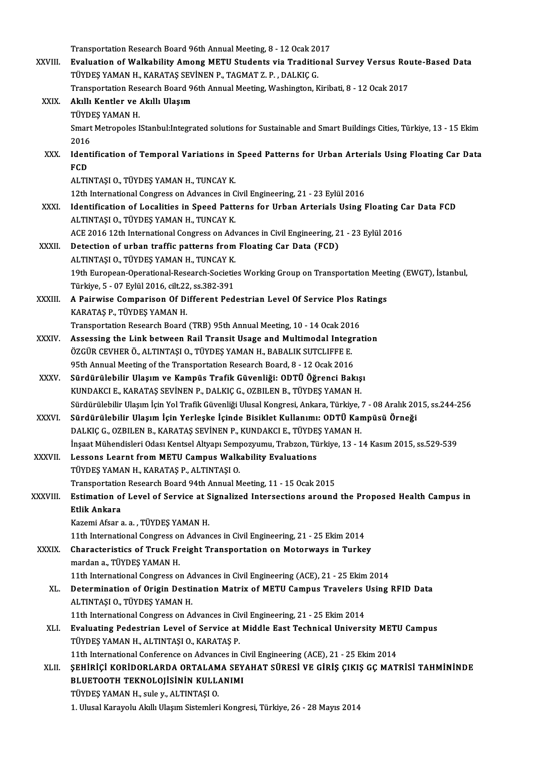Transportation Research Board 96th Annual Meeting, 8 - 12 Ocak 2017

Transportation Research Board 96th Annual Meeting, 8 - 12 Ocak 2017<br>XXVIII. Evaluation of Walkability Among METU Students via Traditional Survey Versus Route-Based Data Transportation Research Board 96th Annual Meeting, 8 - 12 Ocak 20<br>Evaluation of Walkability Among METU Students via Traditio<br>TÜYDEŞ YAMAN H., KARATAŞ SEVİNEN P., TAGMAT Z. P. , DALKIÇ G.<br>Transportation Bessarab Board 96th Evaluation of Walkability Among METU Students via Traditional Survey Versus Rot<br>TÜYDEŞ YAMAN H., KARATAŞ SEVİNEN P., TAGMAT Z. P. , DALKIÇ G.<br>Transportation Research Board 96th Annual Meeting, Washington, Kiribati, 8 - 12 TÜYDEŞ YAMAN H., KARATAŞ SEVİNEN P., TAGMAT Z. P. , DALKIÇ G.<br>Transportation Research Board 96th Annual Meeting, Washington, K<br>XXIX. Akıllı Kentler ve Akıllı Ulaşım<br>TÜYDEŞ YAMAN H. Transportation Research Board 96th Annual Meeting, Washington, Kiribati, 8 - 12 Ocak 2017 Akıllı Kentler ve Akıllı Ulaşım<br>TÜYDEŞ YAMAN H.<br>Smart Metropoles IStanbul:Integrated solutions for Sustainable and Smart Buildings Cities, Türkiye, 13 - 15 Ekim TÜYDI<br>Smart<br>2016<br>Ident Smart Metropoles IStanbul:Integrated solutions for Sustainable and Smart Buildings Cities, Türkiye, 13 - 15 Ekim<br>2016<br>XXX. Identification of Temporal Variations in Speed Patterns for Urban Arterials Using Floating Car Data 2016<br>Ident<br>FCD<br>ALTIM Identification of Temporal Variations in<br>FCD<br>ALTINTAŞI O., TÜYDEŞ YAMAN H., TUNCAY K.<br>12th International Congress on Advances in C FCD<br>ALTINTAŞI O., TÜYDEŞ YAMAN H., TUNCAY K.<br>12th International Congress on Advances in Civil Engineering, 21 - 23 Eylül 2016 XXXI. Identification of Localities in Speed Patterns for Urban Arterials Using Floating Car Data FCD ALTINTAŞI O., TÜYDEŞ YAMAN H., TUNCAY K. Identification of Localities in Speed Patterns for Urban Arterials Using Floating C<br>ALTINTAȘI O., TÜYDEȘ YAMAN H., TUNCAY K.<br>ACE 2016 12th International Congress on Advances in Civil Engineering, 21 - 23 Eylül 2016<br>Detecti ALTINTAȘI O., TÜYDEȘ YAMAN H., TUNCAY K.<br>ACE 2016 12th International Congress on Advances in Civil Engineering, 2<br>XXXII. Detection of urban traffic patterns from Floating Car Data (FCD)<br>ALTINTASLO, TÜYDES YAMAN H. TUNCAY K ACE 2016 12th International Congress on Adv<br>Detection of urban traffic patterns from<br>ALTINTAŞI O., TÜYDEŞ YAMAN H., TUNCAY K.<br>10th Euronsen Operational Bessarsh Societis 19thetion of urban traffic patterns from Floating Car Data (FCD)<br>ALTINTAŞI O., TÜYDEŞ YAMAN H., TUNCAY K.<br>19th European-Operational-Research-Societies Working Group on Transportation Meeting (EWGT), İstanbul,<br>Türkiye, 5 - ALTINTAȘI O., TÜYDEȘ YAMAN H., TUNCAY K. 19th European-Operational-Research-Societies Working Group on Transportation Meet<br>Türkiye, 5 - 07 Eylül 2016, cilt.22, ss.382-391<br>XXXIII. A Pairwise Comparison Of Different Pedestrian Level Of Service Plos Ratings<br>VARATAS Türkiye, 5 - 07 Eylül 2016, cilt.22<br>A Pairwise Comparison Of Di<br>KARATAŞ P., TÜYDEŞ YAMAN H.<br>Transportation Pessarsh Peard A Pairwise Comparison Of Different Pedestrian Level Of Service Plos R<br>KARATAŞ P., TÜYDEŞ YAMAN H.<br>Transportation Research Board (TRB) 95th Annual Meeting, 10 - 14 Ocak 2016<br>Assessing the Link between Pail Transit Heage and KARATAŞ P., TÜYDEŞ YAMAN H.<br>Transportation Research Board (TRB) 95th Annual Meeting, 10 - 14 Ocak 2016<br>XXXIV. Assessing the Link between Rail Transit Usage and Multimodal Integration<br>ÖZCÜP CEVUEP Ö. ALTINTASLO, TÜYDES YAMA Transportation Research Board (TRB) 95th Annual Meeting, 10 - 14 Ocak 201<br>Assessing the Link between Rail Transit Usage and Multimodal Integre<br>ÖZGÜR CEVHER Ö., ALTINTAŞI O., TÜYDEŞ YAMAN H., BABALIK SUTCLIFFE E.<br>95th Annua Assessing the Link between Rail Transit Usage and Multimodal Integre<br>ÖZGÜR CEVHER Ö., ALTINTAŞI O., TÜYDEŞ YAMAN H., BABALIK SUTCLIFFE E.<br>95th Annual Meeting of the Transportation Research Board, 8 - 12 Ocak 2016<br>Sürdürüle ÖZGÜR CEVHER Ö., ALTINTAŞI O., TÜYDEŞ YAMAN H., BABALIK SUTCLIFFE E.<br>95th Annual Meeting of the Transportation Research Board, 8 - 12 Ocak 2016<br>XXXV. Sürdürülebilir Ulaşım ve Kampüs Trafik Güvenliği: ODTÜ Öğrenci Bakışı<br>KU 95th Annual Meeting of the Transportation Research Board, 8 - 12 Ocak 2016<br>Sürdürülebilir Ulaşım ve Kampüs Trafik Güvenliği: ODTÜ Öğrenci Bakış<br>KUNDAKCI E., KARATAŞ SEVİNEN P., DALKIÇ G., OZBILEN B., TÜYDEŞ YAMAN H.<br>Sürdür KUNDAKCI E., KARATAŞ SEVİNEN P., DALKIÇ G., OZBILEN B., TÜYDEŞ YAMAN H.<br>Sürdürülebilir Ulaşım İçin Yol Trafik Güvenliği Ulusal Kongresi, Ankara, Türkiye, 7 - 08 Aralık 2015, ss.244-256 KUNDAKCI E., KARATAŞ SEVİNEN P., DALKIÇ G., OZBILEN B., TÜYDEŞ YAMAN H.<br>Sürdürülebilir Ulaşım İçin Yol Trafik Güvenliği Ulusal Kongresi, Ankara, Türkiye, 7 - 08 Aralık 20<br>XXXVI. Sürdürülebilir Ulaşım İçin Yerleşke İçinde B Sürdürülebilir Ulaşım İçin Yol Trafik Güvenliği Ulusal Kongresi, Ankara, Türkiye, '<br>Sürdürülebilir Ulaşım İçin Yerleşke İçinde Bisiklet Kullanımı: ODTÜ Kar<br>DALKIÇ G., OZBILEN B., KARATAŞ SEVİNEN P., KUNDAKCI E., TÜYDEŞ YAM Sürdürülebilir Ulaşım İçin Yerleşke İçinde Bisiklet Kullanımı: ODTÜ Kampüsü Örneği<br>DALKIÇ G., OZBILEN B., KARATAŞ SEVİNEN P., KUNDAKCI E., TÜYDEŞ YAMAN H.<br>İnşaat Mühendisleri Odası Kentsel Altyapı Sempozyumu, Trabzon, Türk DALKIÇ G., OZBILEN B., KARATAŞ SEVİNEN P., KUNDAKCI E., TÜYDE.<br>İnşaat Mühendisleri Odası Kentsel Altyapı Sempozyumu, Trabzon, Tü<br>XXXVII. Lessons Learnt from METU Campus Walkability Evaluations<br>TÜYDES YAMAN H. KARATAS R İnşaat Mühendisleri Odası Kentsel Altyapı Semp<br>Lessons Learnt from METU Campus Walk<br>TÜYDEŞ YAMAN H., KARATAŞ P., ALTINTAŞI O.<br>Transportation Bossarsh Board 94th Annual M Lessons Learnt from METU Campus Walkability Evaluations<br>TÜYDEŞ YAMAN H., KARATAŞ P., ALTINTAŞI 0.<br>Transportation Research Board 94th Annual Meeting, 11 - 15 Ocak 2015<br>Estimation of Lavel of Servise at Sispolined Intersecti TÜYDEŞ YAMAN H., KARATAŞ P., ALTINTAŞI O.<br>Transportation Research Board 94th Annual Meeting, 11 - 15 Ocak 2015<br>XXXVIII. Estimation of Level of Service at Signalized Intersections around the Proposed Health Campus in<br>Et Transportation<br>Estimation of<br>Etlik Ankara<br>Karami Afaara Estimation of Level of Service at S<br>Etlik Ankara<br>Kazemi Afsar a. a. , TÜYDEŞ YAMAN H.<br>11th International Congress on Advan Etlik Ankara<br>Kazemi Afsar a. a. , TÜYDEŞ YAMAN H.<br>11th International Congress on Advances in Civil Engineering, 21 - 25 Ekim 2014<br>Characteristics of Truck Engight Transportation on Motorways in Turke Kazemi Afsar a. a. , TÜYDEŞ YAMAN H.<br>11th International Congress on Advances in Civil Engineering, 21 - 25 Ekim 2014<br>XXXIX. Characteristics of Truck Freight Transportation on Motorways in Turkey<br>mardan a TÜYDES VAMAN 11th International Congress of<br>Characteristics of Truck Fr<br>mardan a., TÜYDEŞ YAMAN H.<br>11th International Congress of Characteristics of Truck Freight Transportation on Motorways in Turkey<br>mardan a., TÜYDEŞ YAMAN H.<br>11th International Congress on Advances in Civil Engineering (ACE), 21 - 25 Ekim 2014<br>Determination of Origin Destination Me mardan a., TÜYDEŞ YAMAN H.<br>11th International Congress on Advances in Civil Engineering (ACE), 21 - 25 Ekim 2014<br>XL. Determination of Origin Destination Matrix of METU Campus Travelers Using RFID Data<br>ALTINTASLO, TÜYDE 11th International Congress on Action<br>Determination of Origin Destin<br>ALTINTAȘI O., TÜYDEȘ YAMAN H. Determination of Origin Destination Matrix of METU Campus Travelers l<br>ALTINTAȘI O., TÜYDEȘ YAMAN H.<br>11th International Congress on Advances in Civil Engineering, 21 - 25 Ekim 2014<br>Evaluating Bodostrian Loval of Sarvige et ALTINTAȘI O., TÜYDEȘ YAMAN H.<br>11th International Congress on Advances in Civil Engineering, 21 - 25 Ekim 2014<br>XLI. Evaluating Pedestrian Level of Service at Middle East Technical University METU Campus<br>TÜYDES YAMAN H., ALT 11th International Congress on Advances in Civil Engineering, 21 - 25 Ekim 2014 Evaluating Pedestrian Level of Service at Middle East Technical University METI<br>TÜYDEŞ YAMAN H., ALTINTAŞI O., KARATAŞ P.<br>11th International Conference on Advances in Civil Engineering (ACE), 21 - 25 Ekim 2014<br>SEHİRİCİ KOR TÜYDEŞ YAMAN H., ALTINTAŞI O., KARATAŞ P.<br>11th International Conference on Advances in Civil Engineering (ACE), 21 - 25 Ekim 2014<br>XLII. ŞEHİRİÇİ KORİDORLARDA ORTALAMA SEYAHAT SÜRESİ VE GİRİŞ ÇIKIŞ GÇ MATRİSİ TAHMİNİNDE 11th International Conference on Advances in C<br>SEHIRIÇI KORIDORLARDA ORTALAMA SEY<br>BLUETOOTH TEKNOLOJISININ KULLANIMI<br>TÜVDES VAMAN H. sula v. ALTINTASLO ŞEHİRİÇİ KORİDORLARDA ORTALAM<br>BLUETOOTH TEKNOLOJİSİNİN KULL<br>TÜYDEŞ YAMAN H., sule y., ALTINTAŞI O.<br>1. Ulusal Karayalu Altili Ulasım Sistamları 1.BLUETOOTH TEKNOLOJISININ KULLANIMI<br>1.DYDEŞ YAMAN H., sule y., ALTINTAŞI O.<br>1. Ulusal Karayolu Akıllı Ulaşım Sistemleri Kongresi, Türkiye, 26 - 28 Mayıs 2014